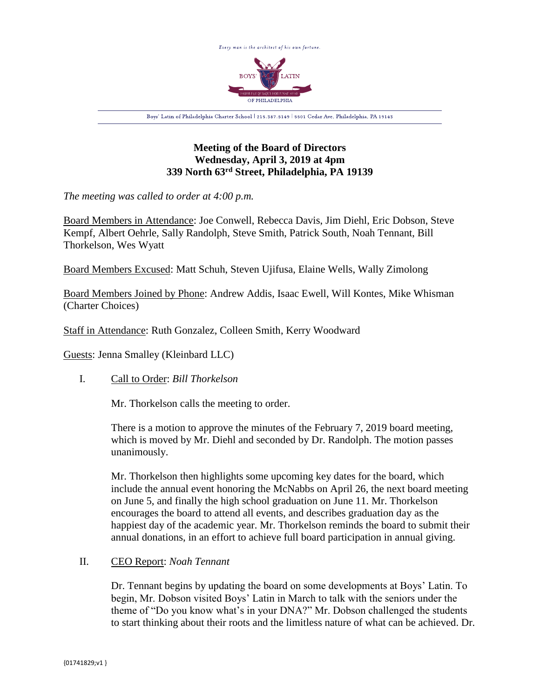

# **Meeting of the Board of Directors Wednesday, April 3, 2019 at 4pm 339 North 63rd Street, Philadelphia, PA 19139**

*The meeting was called to order at 4:00 p.m.*

Board Members in Attendance: Joe Conwell, Rebecca Davis, Jim Diehl, Eric Dobson, Steve Kempf, Albert Oehrle, Sally Randolph, Steve Smith, Patrick South, Noah Tennant, Bill Thorkelson, Wes Wyatt

Board Members Excused: Matt Schuh, Steven Ujifusa, Elaine Wells, Wally Zimolong

Board Members Joined by Phone: Andrew Addis, Isaac Ewell, Will Kontes, Mike Whisman (Charter Choices)

Staff in Attendance: Ruth Gonzalez, Colleen Smith, Kerry Woodward

Guests: Jenna Smalley (Kleinbard LLC)

I. Call to Order: *Bill Thorkelson*

Mr. Thorkelson calls the meeting to order.

There is a motion to approve the minutes of the February 7, 2019 board meeting, which is moved by Mr. Diehl and seconded by Dr. Randolph. The motion passes unanimously.

Mr. Thorkelson then highlights some upcoming key dates for the board, which include the annual event honoring the McNabbs on April 26, the next board meeting on June 5, and finally the high school graduation on June 11. Mr. Thorkelson encourages the board to attend all events, and describes graduation day as the happiest day of the academic year. Mr. Thorkelson reminds the board to submit their annual donations, in an effort to achieve full board participation in annual giving.

# II. CEO Report: *Noah Tennant*

Dr. Tennant begins by updating the board on some developments at Boys' Latin. To begin, Mr. Dobson visited Boys' Latin in March to talk with the seniors under the theme of "Do you know what's in your DNA?" Mr. Dobson challenged the students to start thinking about their roots and the limitless nature of what can be achieved. Dr.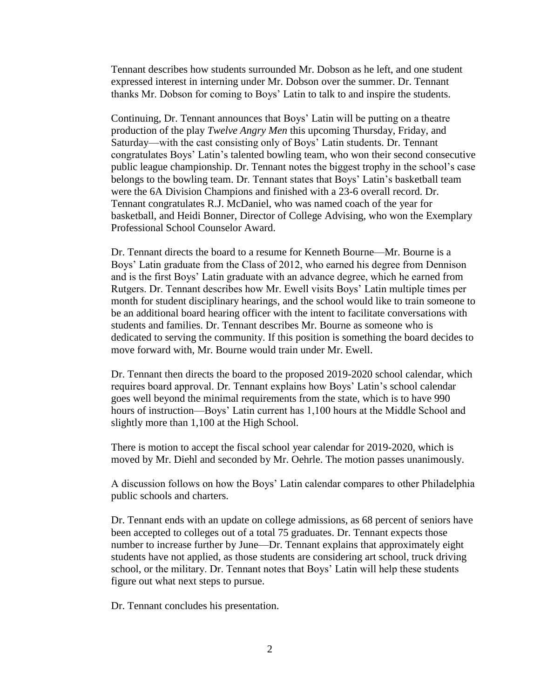Tennant describes how students surrounded Mr. Dobson as he left, and one student expressed interest in interning under Mr. Dobson over the summer. Dr. Tennant thanks Mr. Dobson for coming to Boys' Latin to talk to and inspire the students.

Continuing, Dr. Tennant announces that Boys' Latin will be putting on a theatre production of the play *Twelve Angry Men* this upcoming Thursday, Friday, and Saturday—with the cast consisting only of Boys' Latin students. Dr. Tennant congratulates Boys' Latin's talented bowling team, who won their second consecutive public league championship. Dr. Tennant notes the biggest trophy in the school's case belongs to the bowling team. Dr. Tennant states that Boys' Latin's basketball team were the 6A Division Champions and finished with a 23-6 overall record. Dr. Tennant congratulates R.J. McDaniel, who was named coach of the year for basketball, and Heidi Bonner, Director of College Advising, who won the Exemplary Professional School Counselor Award.

Dr. Tennant directs the board to a resume for Kenneth Bourne—Mr. Bourne is a Boys' Latin graduate from the Class of 2012, who earned his degree from Dennison and is the first Boys' Latin graduate with an advance degree, which he earned from Rutgers. Dr. Tennant describes how Mr. Ewell visits Boys' Latin multiple times per month for student disciplinary hearings, and the school would like to train someone to be an additional board hearing officer with the intent to facilitate conversations with students and families. Dr. Tennant describes Mr. Bourne as someone who is dedicated to serving the community. If this position is something the board decides to move forward with, Mr. Bourne would train under Mr. Ewell.

Dr. Tennant then directs the board to the proposed 2019-2020 school calendar, which requires board approval. Dr. Tennant explains how Boys' Latin's school calendar goes well beyond the minimal requirements from the state, which is to have 990 hours of instruction—Boys' Latin current has 1,100 hours at the Middle School and slightly more than 1,100 at the High School.

There is motion to accept the fiscal school year calendar for 2019-2020, which is moved by Mr. Diehl and seconded by Mr. Oehrle. The motion passes unanimously.

A discussion follows on how the Boys' Latin calendar compares to other Philadelphia public schools and charters.

Dr. Tennant ends with an update on college admissions, as 68 percent of seniors have been accepted to colleges out of a total 75 graduates. Dr. Tennant expects those number to increase further by June—Dr. Tennant explains that approximately eight students have not applied, as those students are considering art school, truck driving school, or the military. Dr. Tennant notes that Boys' Latin will help these students figure out what next steps to pursue.

Dr. Tennant concludes his presentation.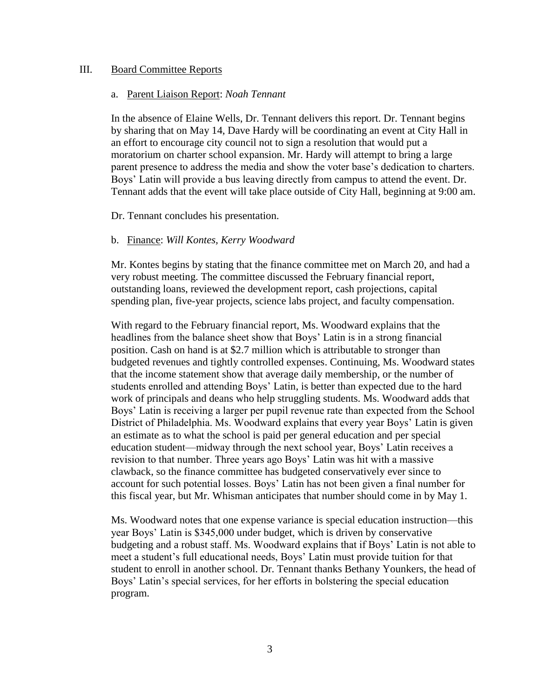## III. Board Committee Reports

#### a. Parent Liaison Report: *Noah Tennant*

In the absence of Elaine Wells, Dr. Tennant delivers this report. Dr. Tennant begins by sharing that on May 14, Dave Hardy will be coordinating an event at City Hall in an effort to encourage city council not to sign a resolution that would put a moratorium on charter school expansion. Mr. Hardy will attempt to bring a large parent presence to address the media and show the voter base's dedication to charters. Boys' Latin will provide a bus leaving directly from campus to attend the event. Dr. Tennant adds that the event will take place outside of City Hall, beginning at 9:00 am.

Dr. Tennant concludes his presentation.

### b. Finance: *Will Kontes, Kerry Woodward*

Mr. Kontes begins by stating that the finance committee met on March 20, and had a very robust meeting. The committee discussed the February financial report, outstanding loans, reviewed the development report, cash projections, capital spending plan, five-year projects, science labs project, and faculty compensation.

With regard to the February financial report, Ms. Woodward explains that the headlines from the balance sheet show that Boys' Latin is in a strong financial position. Cash on hand is at \$2.7 million which is attributable to stronger than budgeted revenues and tightly controlled expenses. Continuing, Ms. Woodward states that the income statement show that average daily membership, or the number of students enrolled and attending Boys' Latin, is better than expected due to the hard work of principals and deans who help struggling students. Ms. Woodward adds that Boys' Latin is receiving a larger per pupil revenue rate than expected from the School District of Philadelphia. Ms. Woodward explains that every year Boys' Latin is given an estimate as to what the school is paid per general education and per special education student—midway through the next school year, Boys' Latin receives a revision to that number. Three years ago Boys' Latin was hit with a massive clawback, so the finance committee has budgeted conservatively ever since to account for such potential losses. Boys' Latin has not been given a final number for this fiscal year, but Mr. Whisman anticipates that number should come in by May 1.

Ms. Woodward notes that one expense variance is special education instruction—this year Boys' Latin is \$345,000 under budget, which is driven by conservative budgeting and a robust staff. Ms. Woodward explains that if Boys' Latin is not able to meet a student's full educational needs, Boys' Latin must provide tuition for that student to enroll in another school. Dr. Tennant thanks Bethany Younkers, the head of Boys' Latin's special services, for her efforts in bolstering the special education program.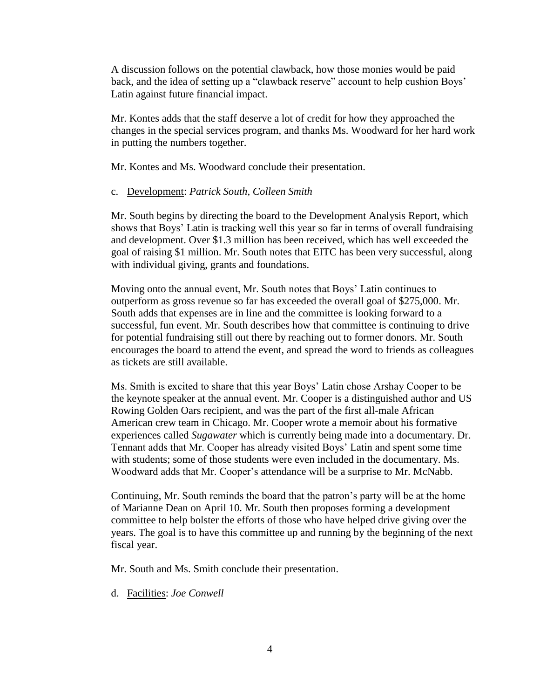A discussion follows on the potential clawback, how those monies would be paid back, and the idea of setting up a "clawback reserve" account to help cushion Boys' Latin against future financial impact.

Mr. Kontes adds that the staff deserve a lot of credit for how they approached the changes in the special services program, and thanks Ms. Woodward for her hard work in putting the numbers together.

Mr. Kontes and Ms. Woodward conclude their presentation.

## c. Development: *Patrick South, Colleen Smith*

Mr. South begins by directing the board to the Development Analysis Report, which shows that Boys' Latin is tracking well this year so far in terms of overall fundraising and development. Over \$1.3 million has been received, which has well exceeded the goal of raising \$1 million. Mr. South notes that EITC has been very successful, along with individual giving, grants and foundations.

Moving onto the annual event, Mr. South notes that Boys' Latin continues to outperform as gross revenue so far has exceeded the overall goal of \$275,000. Mr. South adds that expenses are in line and the committee is looking forward to a successful, fun event. Mr. South describes how that committee is continuing to drive for potential fundraising still out there by reaching out to former donors. Mr. South encourages the board to attend the event, and spread the word to friends as colleagues as tickets are still available.

Ms. Smith is excited to share that this year Boys' Latin chose Arshay Cooper to be the keynote speaker at the annual event. Mr. Cooper is a distinguished author and US Rowing Golden Oars recipient, and was the part of the first all-male African American crew team in Chicago. Mr. Cooper wrote a memoir about his formative experiences called *Sugawater* which is currently being made into a documentary. Dr. Tennant adds that Mr. Cooper has already visited Boys' Latin and spent some time with students; some of those students were even included in the documentary. Ms. Woodward adds that Mr. Cooper's attendance will be a surprise to Mr. McNabb.

Continuing, Mr. South reminds the board that the patron's party will be at the home of Marianne Dean on April 10. Mr. South then proposes forming a development committee to help bolster the efforts of those who have helped drive giving over the years. The goal is to have this committee up and running by the beginning of the next fiscal year.

Mr. South and Ms. Smith conclude their presentation.

d. Facilities: *Joe Conwell*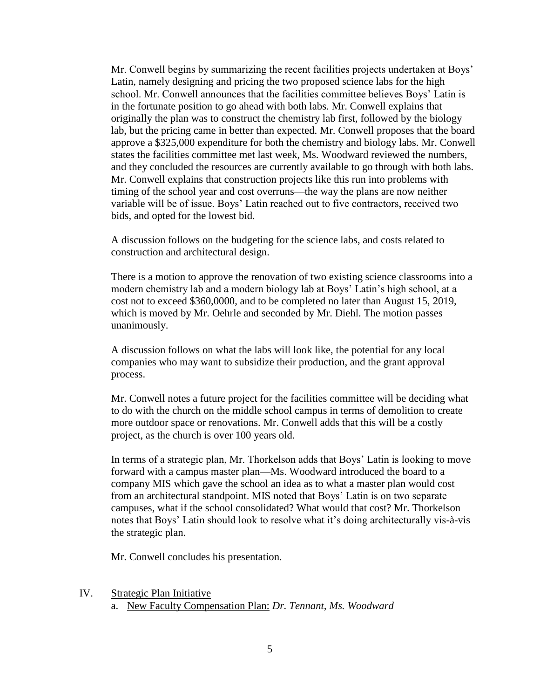Mr. Conwell begins by summarizing the recent facilities projects undertaken at Boys' Latin, namely designing and pricing the two proposed science labs for the high school. Mr. Conwell announces that the facilities committee believes Boys' Latin is in the fortunate position to go ahead with both labs. Mr. Conwell explains that originally the plan was to construct the chemistry lab first, followed by the biology lab, but the pricing came in better than expected. Mr. Conwell proposes that the board approve a \$325,000 expenditure for both the chemistry and biology labs. Mr. Conwell states the facilities committee met last week, Ms. Woodward reviewed the numbers, and they concluded the resources are currently available to go through with both labs. Mr. Conwell explains that construction projects like this run into problems with timing of the school year and cost overruns—the way the plans are now neither variable will be of issue. Boys' Latin reached out to five contractors, received two bids, and opted for the lowest bid.

A discussion follows on the budgeting for the science labs, and costs related to construction and architectural design.

There is a motion to approve the renovation of two existing science classrooms into a modern chemistry lab and a modern biology lab at Boys' Latin's high school, at a cost not to exceed \$360,0000, and to be completed no later than August 15, 2019, which is moved by Mr. Oehrle and seconded by Mr. Diehl. The motion passes unanimously.

A discussion follows on what the labs will look like, the potential for any local companies who may want to subsidize their production, and the grant approval process.

Mr. Conwell notes a future project for the facilities committee will be deciding what to do with the church on the middle school campus in terms of demolition to create more outdoor space or renovations. Mr. Conwell adds that this will be a costly project, as the church is over 100 years old.

In terms of a strategic plan, Mr. Thorkelson adds that Boys' Latin is looking to move forward with a campus master plan—Ms. Woodward introduced the board to a company MIS which gave the school an idea as to what a master plan would cost from an architectural standpoint. MIS noted that Boys' Latin is on two separate campuses, what if the school consolidated? What would that cost? Mr. Thorkelson notes that Boys' Latin should look to resolve what it's doing architecturally vis-à-vis the strategic plan.

Mr. Conwell concludes his presentation.

IV. Strategic Plan Initiative a. New Faculty Compensation Plan: *Dr. Tennant, Ms. Woodward*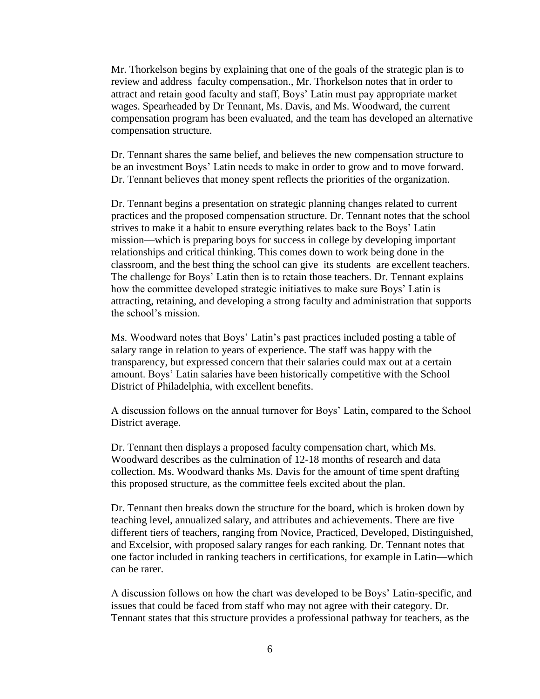Mr. Thorkelson begins by explaining that one of the goals of the strategic plan is to review and address faculty compensation., Mr. Thorkelson notes that in order to attract and retain good faculty and staff, Boys' Latin must pay appropriate market wages. Spearheaded by Dr Tennant, Ms. Davis, and Ms. Woodward, the current compensation program has been evaluated, and the team has developed an alternative compensation structure.

Dr. Tennant shares the same belief, and believes the new compensation structure to be an investment Boys' Latin needs to make in order to grow and to move forward. Dr. Tennant believes that money spent reflects the priorities of the organization.

Dr. Tennant begins a presentation on strategic planning changes related to current practices and the proposed compensation structure. Dr. Tennant notes that the school strives to make it a habit to ensure everything relates back to the Boys' Latin mission—which is preparing boys for success in college by developing important relationships and critical thinking. This comes down to work being done in the classroom, and the best thing the school can give its students are excellent teachers. The challenge for Boys' Latin then is to retain those teachers. Dr. Tennant explains how the committee developed strategic initiatives to make sure Boys' Latin is attracting, retaining, and developing a strong faculty and administration that supports the school's mission.

Ms. Woodward notes that Boys' Latin's past practices included posting a table of salary range in relation to years of experience. The staff was happy with the transparency, but expressed concern that their salaries could max out at a certain amount. Boys' Latin salaries have been historically competitive with the School District of Philadelphia, with excellent benefits.

A discussion follows on the annual turnover for Boys' Latin, compared to the School District average.

Dr. Tennant then displays a proposed faculty compensation chart, which Ms. Woodward describes as the culmination of 12-18 months of research and data collection. Ms. Woodward thanks Ms. Davis for the amount of time spent drafting this proposed structure, as the committee feels excited about the plan.

Dr. Tennant then breaks down the structure for the board, which is broken down by teaching level, annualized salary, and attributes and achievements. There are five different tiers of teachers, ranging from Novice, Practiced, Developed, Distinguished, and Excelsior, with proposed salary ranges for each ranking. Dr. Tennant notes that one factor included in ranking teachers in certifications, for example in Latin—which can be rarer.

A discussion follows on how the chart was developed to be Boys' Latin-specific, and issues that could be faced from staff who may not agree with their category. Dr. Tennant states that this structure provides a professional pathway for teachers, as the